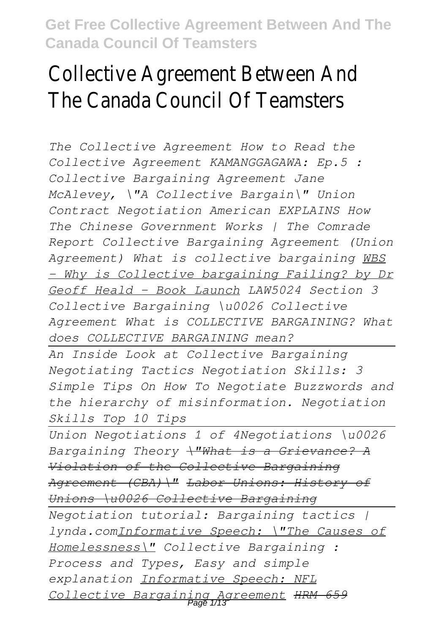# Collective Agreement Between And The Canada Council Of Teamsters

*The Collective Agreement How to Read the Collective Agreement KAMANGGAGAWA: Ep.5 : Collective Bargaining Agreement Jane McAlevey, \"A Collective Bargain\" Union Contract Negotiation American EXPLAINS How The Chinese Government Works | The Comrade Report Collective Bargaining Agreement (Union Agreement) What is collective bargaining WBS - Why is Collective bargaining Failing? by Dr Geoff Heald - Book Launch LAW5024 Section 3 Collective Bargaining \u0026 Collective Agreement What is COLLECTIVE BARGAINING? What does COLLECTIVE BARGAINING mean?*

*An Inside Look at Collective Bargaining Negotiating Tactics Negotiation Skills: 3 Simple Tips On How To Negotiate Buzzwords and the hierarchy of misinformation. Negotiation Skills Top 10 Tips*

*Union Negotiations 1 of 4Negotiations \u0026 Bargaining Theory \"What is a Grievance? A Violation of the Collective Bargaining Agreement (CBA)\" Labor Unions: History of Unions \u0026 Collective Bargaining*

*Negotiation tutorial: Bargaining tactics | lynda.comInformative Speech: \"The Causes of Homelessness\" Collective Bargaining : Process and Types, Easy and simple explanation Informative Speech: NFL Collective Bargaining Agreement HRM 659* Page 1/13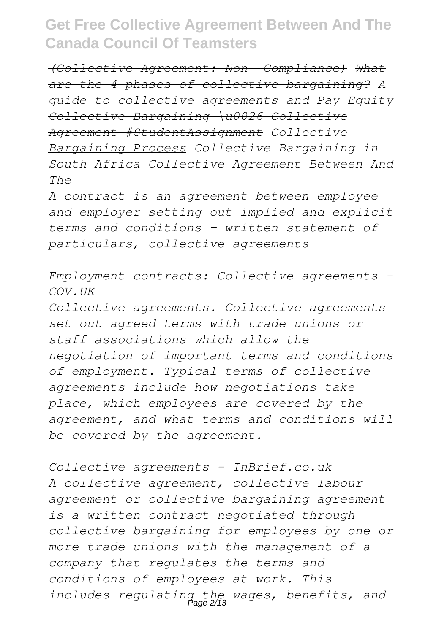*(Collective Agreement: Non- Compliance) What are the 4 phases of collective bargaining? A guide to collective agreements and Pay Equity Collective Bargaining \u0026 Collective Agreement #StudentAssignment Collective Bargaining Process Collective Bargaining in South Africa Collective Agreement Between And The*

*A contract is an agreement between employee and employer setting out implied and explicit terms and conditions - written statement of particulars, collective agreements*

*Employment contracts: Collective agreements - GOV.UK*

*Collective agreements. Collective agreements set out agreed terms with trade unions or staff associations which allow the negotiation of important terms and conditions of employment. Typical terms of collective agreements include how negotiations take place, which employees are covered by the agreement, and what terms and conditions will be covered by the agreement.*

*Collective agreements - InBrief.co.uk A collective agreement, collective labour agreement or collective bargaining agreement is a written contract negotiated through collective bargaining for employees by one or more trade unions with the management of a company that regulates the terms and conditions of employees at work. This includes regulating the wages, benefits, and* Page 2/13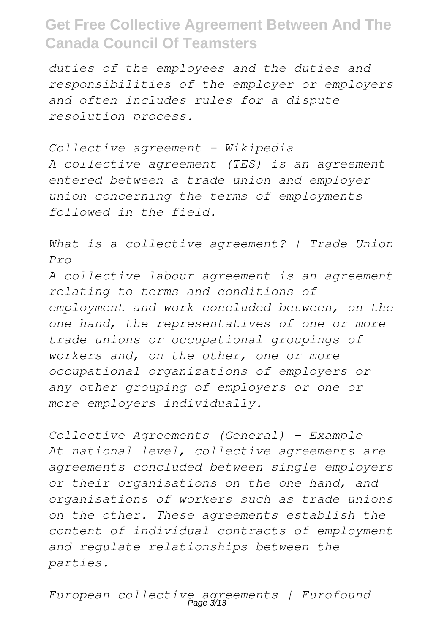*duties of the employees and the duties and responsibilities of the employer or employers and often includes rules for a dispute resolution process.*

*Collective agreement - Wikipedia A collective agreement (TES) is an agreement entered between a trade union and employer union concerning the terms of employments followed in the field.*

*What is a collective agreement? | Trade Union Pro A collective labour agreement is an agreement relating to terms and conditions of employment and work concluded between, on the one hand, the representatives of one or more trade unions or occupational groupings of workers and, on the other, one or more occupational organizations of employers or any other grouping of employers or one or more employers individually.*

*Collective Agreements (General) - Example At national level, collective agreements are agreements concluded between single employers or their organisations on the one hand, and organisations of workers such as trade unions on the other. These agreements establish the content of individual contracts of employment and regulate relationships between the parties.*

*European collective agreements | Eurofound* Page 3/13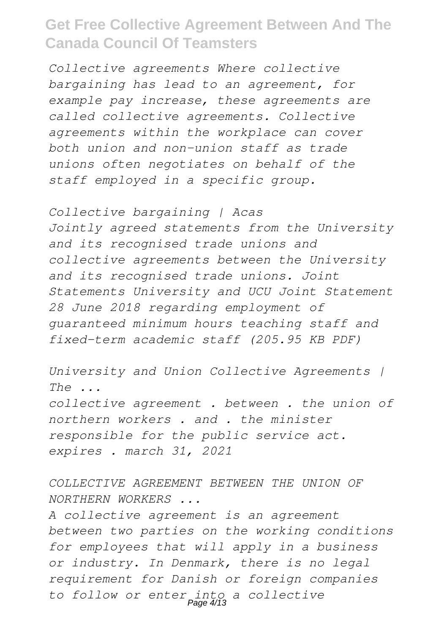*Collective agreements Where collective bargaining has lead to an agreement, for example pay increase, these agreements are called collective agreements. Collective agreements within the workplace can cover both union and non-union staff as trade unions often negotiates on behalf of the staff employed in a specific group.*

*Collective bargaining | Acas Jointly agreed statements from the University and its recognised trade unions and collective agreements between the University and its recognised trade unions. Joint Statements University and UCU Joint Statement 28 June 2018 regarding employment of guaranteed minimum hours teaching staff and fixed-term academic staff (205.95 KB PDF)*

*University and Union Collective Agreements | The ... collective agreement . between . the union of northern workers . and . the minister responsible for the public service act. expires . march 31, 2021*

*COLLECTIVE AGREEMENT BETWEEN THE UNION OF NORTHERN WORKERS ...*

*A collective agreement is an agreement between two parties on the working conditions for employees that will apply in a business or industry. In Denmark, there is no legal requirement for Danish or foreign companies to follow or enter into a collective* Page 4/13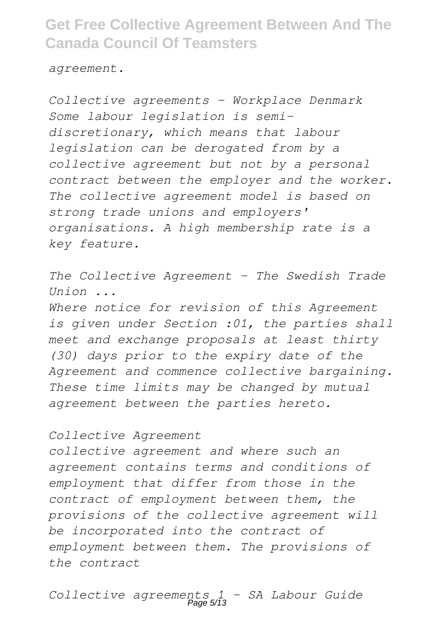*agreement.*

*Collective agreements - Workplace Denmark Some labour legislation is semidiscretionary, which means that labour legislation can be derogated from by a collective agreement but not by a personal contract between the employer and the worker. The collective agreement model is based on strong trade unions and employers' organisations. A high membership rate is a key feature.*

*The Collective Agreement - The Swedish Trade Union ...*

*Where notice for revision of this Agreement is given under Section :01, the parties shall meet and exchange proposals at least thirty (30) days prior to the expiry date of the Agreement and commence collective bargaining. These time limits may be changed by mutual agreement between the parties hereto.*

#### *Collective Agreement*

*collective agreement and where such an agreement contains terms and conditions of employment that differ from those in the contract of employment between them, the provisions of the collective agreement will be incorporated into the contract of employment between them. The provisions of the contract*

*Collective agreements 1 - SA Labour Guide* Page 5/13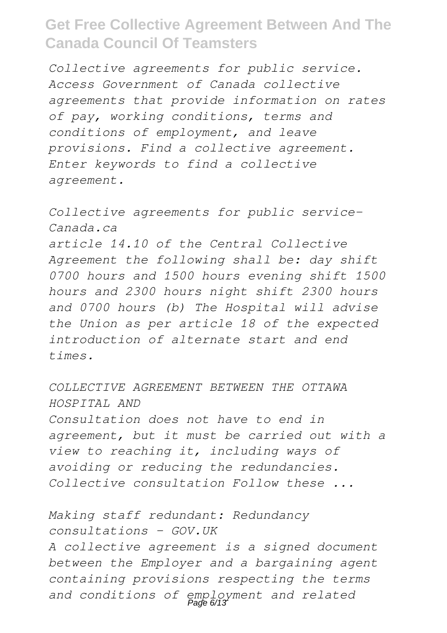*Collective agreements for public service. Access Government of Canada collective agreements that provide information on rates of pay, working conditions, terms and conditions of employment, and leave provisions. Find a collective agreement. Enter keywords to find a collective agreement.*

*Collective agreements for public service-Canada.ca article 14.10 of the Central Collective Agreement the following shall be: day shift 0700 hours and 1500 hours evening shift 1500 hours and 2300 hours night shift 2300 hours and 0700 hours (b) The Hospital will advise the Union as per article 18 of the expected introduction of alternate start and end times.*

*COLLECTIVE AGREEMENT BETWEEN THE OTTAWA HOSPITAL AND Consultation does not have to end in agreement, but it must be carried out with a view to reaching it, including ways of avoiding or reducing the redundancies. Collective consultation Follow these ...*

*Making staff redundant: Redundancy consultations - GOV.UK A collective agreement is a signed document between the Employer and a bargaining agent containing provisions respecting the terms and conditions of employment and related* Page 6/13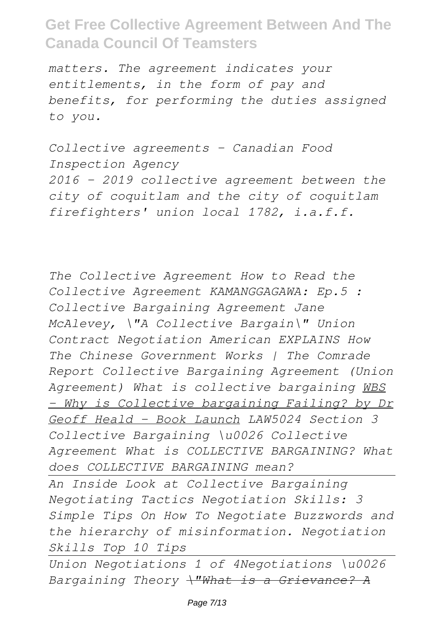*matters. The agreement indicates your entitlements, in the form of pay and benefits, for performing the duties assigned to you.*

*Collective agreements - Canadian Food Inspection Agency 2016 – 2019 collective agreement between the city of coquitlam and the city of coquitlam firefighters' union local 1782, i.a.f.f.*

*The Collective Agreement How to Read the Collective Agreement KAMANGGAGAWA: Ep.5 : Collective Bargaining Agreement Jane McAlevey, \"A Collective Bargain\" Union Contract Negotiation American EXPLAINS How The Chinese Government Works | The Comrade Report Collective Bargaining Agreement (Union Agreement) What is collective bargaining WBS - Why is Collective bargaining Failing? by Dr Geoff Heald - Book Launch LAW5024 Section 3 Collective Bargaining \u0026 Collective Agreement What is COLLECTIVE BARGAINING? What does COLLECTIVE BARGAINING mean? An Inside Look at Collective Bargaining Negotiating Tactics Negotiation Skills: 3 Simple Tips On How To Negotiate Buzzwords and the hierarchy of misinformation. Negotiation Skills Top 10 Tips*

*Union Negotiations 1 of 4Negotiations \u0026 Bargaining Theory \"What is a Grievance? A*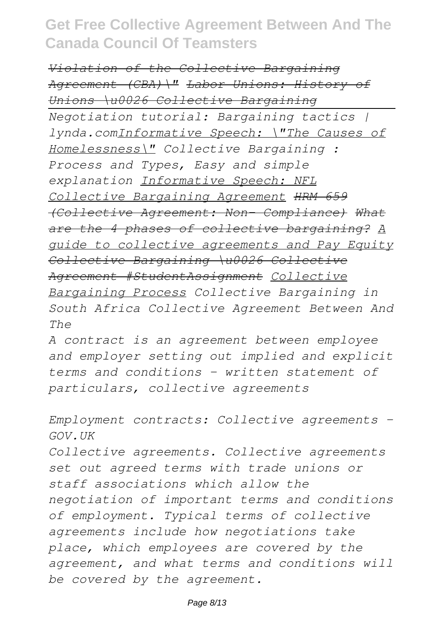*Violation of the Collective Bargaining Agreement (CBA)\" Labor Unions: History of Unions \u0026 Collective Bargaining Negotiation tutorial: Bargaining tactics | lynda.comInformative Speech: \"The Causes of Homelessness\" Collective Bargaining : Process and Types, Easy and simple explanation Informative Speech: NFL Collective Bargaining Agreement HRM 659 (Collective Agreement: Non- Compliance) What are the 4 phases of collective bargaining? A guide to collective agreements and Pay Equity Collective Bargaining \u0026 Collective Agreement #StudentAssignment Collective Bargaining Process Collective Bargaining in South Africa Collective Agreement Between And The*

*A contract is an agreement between employee and employer setting out implied and explicit terms and conditions - written statement of particulars, collective agreements*

*Employment contracts: Collective agreements - GOV.UK*

*Collective agreements. Collective agreements set out agreed terms with trade unions or staff associations which allow the negotiation of important terms and conditions of employment. Typical terms of collective agreements include how negotiations take place, which employees are covered by the agreement, and what terms and conditions will be covered by the agreement.*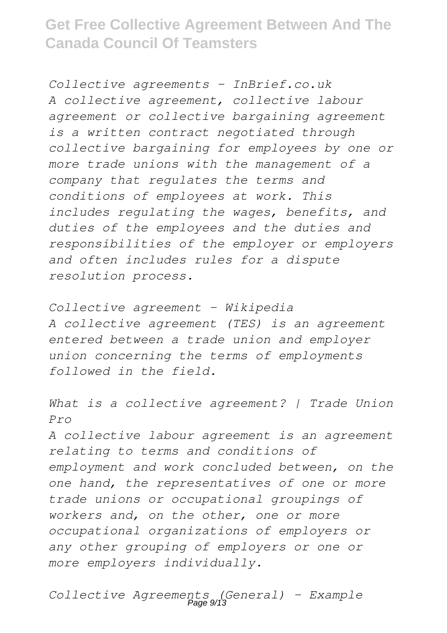*Collective agreements - InBrief.co.uk A collective agreement, collective labour agreement or collective bargaining agreement is a written contract negotiated through collective bargaining for employees by one or more trade unions with the management of a company that regulates the terms and conditions of employees at work. This includes regulating the wages, benefits, and duties of the employees and the duties and responsibilities of the employer or employers and often includes rules for a dispute resolution process.*

*Collective agreement - Wikipedia A collective agreement (TES) is an agreement entered between a trade union and employer union concerning the terms of employments followed in the field.*

*What is a collective agreement? | Trade Union Pro A collective labour agreement is an agreement relating to terms and conditions of employment and work concluded between, on the one hand, the representatives of one or more trade unions or occupational groupings of workers and, on the other, one or more occupational organizations of employers or any other grouping of employers or one or more employers individually.*

*Collective Agreements (General) - Example* Page 9/13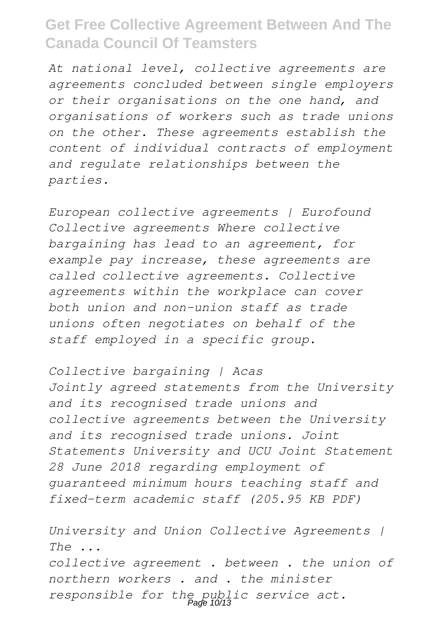*At national level, collective agreements are agreements concluded between single employers or their organisations on the one hand, and organisations of workers such as trade unions on the other. These agreements establish the content of individual contracts of employment and regulate relationships between the parties.*

*European collective agreements | Eurofound Collective agreements Where collective bargaining has lead to an agreement, for example pay increase, these agreements are called collective agreements. Collective agreements within the workplace can cover both union and non-union staff as trade unions often negotiates on behalf of the staff employed in a specific group.*

*Collective bargaining | Acas Jointly agreed statements from the University and its recognised trade unions and collective agreements between the University and its recognised trade unions. Joint Statements University and UCU Joint Statement 28 June 2018 regarding employment of guaranteed minimum hours teaching staff and fixed-term academic staff (205.95 KB PDF)*

*University and Union Collective Agreements | The ... collective agreement . between . the union of northern workers . and . the minister responsible for the public service act.* Page 10/13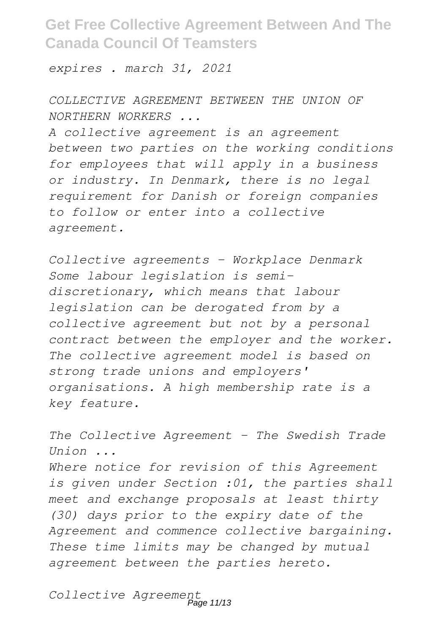*expires . march 31, 2021*

*COLLECTIVE AGREEMENT BETWEEN THE UNION OF NORTHERN WORKERS ...*

*A collective agreement is an agreement between two parties on the working conditions for employees that will apply in a business or industry. In Denmark, there is no legal requirement for Danish or foreign companies to follow or enter into a collective agreement.*

*Collective agreements - Workplace Denmark Some labour legislation is semidiscretionary, which means that labour legislation can be derogated from by a collective agreement but not by a personal contract between the employer and the worker. The collective agreement model is based on strong trade unions and employers' organisations. A high membership rate is a key feature.*

*The Collective Agreement - The Swedish Trade Union ...*

*Where notice for revision of this Agreement is given under Section :01, the parties shall meet and exchange proposals at least thirty (30) days prior to the expiry date of the Agreement and commence collective bargaining. These time limits may be changed by mutual agreement between the parties hereto.*

*Collective Agreement* Page 11/13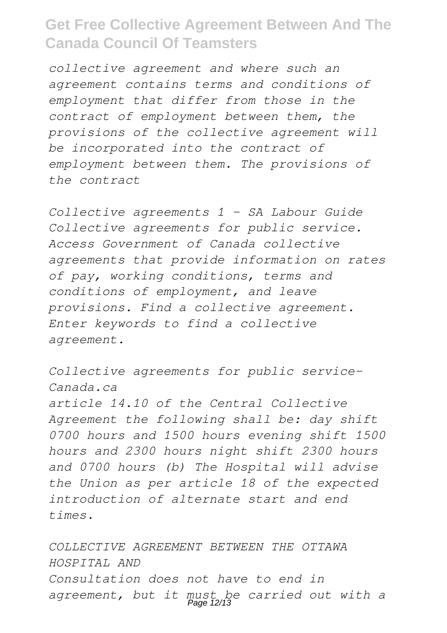*collective agreement and where such an agreement contains terms and conditions of employment that differ from those in the contract of employment between them, the provisions of the collective agreement will be incorporated into the contract of employment between them. The provisions of the contract*

*Collective agreements 1 - SA Labour Guide Collective agreements for public service. Access Government of Canada collective agreements that provide information on rates of pay, working conditions, terms and conditions of employment, and leave provisions. Find a collective agreement. Enter keywords to find a collective agreement.*

*Collective agreements for public service-Canada.ca article 14.10 of the Central Collective Agreement the following shall be: day shift 0700 hours and 1500 hours evening shift 1500 hours and 2300 hours night shift 2300 hours and 0700 hours (b) The Hospital will advise the Union as per article 18 of the expected introduction of alternate start and end times.*

*COLLECTIVE AGREEMENT BETWEEN THE OTTAWA HOSPITAL AND Consultation does not have to end in agreement, but it must be carried out with a* Page 12/13